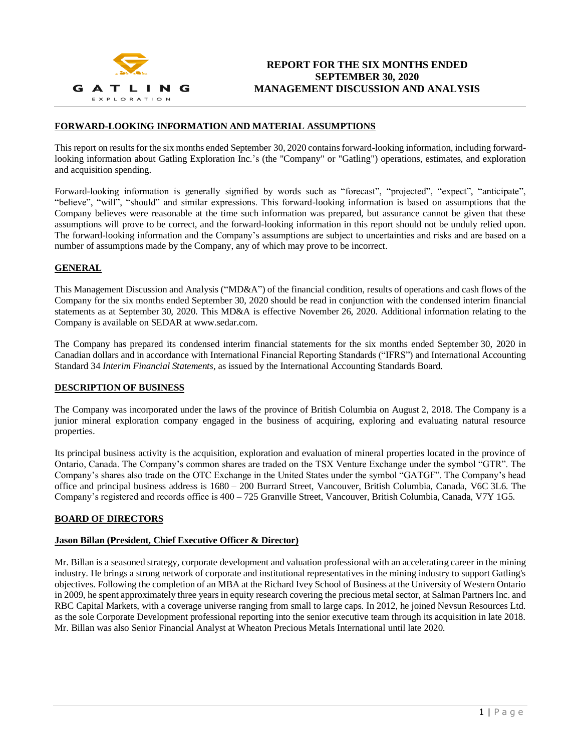

### **FORWARD-LOOKING INFORMATION AND MATERIAL ASSUMPTIONS**

This report on results for the six months ended September 30, 2020 contains forward-looking information, including forwardlooking information about Gatling Exploration Inc.'s (the "Company" or "Gatling") operations, estimates, and exploration and acquisition spending.

Forward-looking information is generally signified by words such as "forecast", "projected", "expect", "anticipate", "believe", "will", "should" and similar expressions. This forward-looking information is based on assumptions that the Company believes were reasonable at the time such information was prepared, but assurance cannot be given that these assumptions will prove to be correct, and the forward-looking information in this report should not be unduly relied upon. The forward-looking information and the Company's assumptions are subject to uncertainties and risks and are based on a number of assumptions made by the Company, any of which may prove to be incorrect.

## **GENERAL**

This Management Discussion and Analysis ("MD&A") of the financial condition, results of operations and cash flows of the Company for the six months ended September 30, 2020 should be read in conjunction with the condensed interim financial statements as at September 30, 2020. This MD&A is effective November 26, 2020. Additional information relating to the Company is available on SEDAR at www.sedar.com.

The Company has prepared its condensed interim financial statements for the six months ended September 30, 2020 in Canadian dollars and in accordance with International Financial Reporting Standards ("IFRS") and International Accounting Standard 34 *Interim Financial Statements*, as issued by the International Accounting Standards Board.

#### **DESCRIPTION OF BUSINESS**

The Company was incorporated under the laws of the province of British Columbia on August 2, 2018. The Company is a junior mineral exploration company engaged in the business of acquiring, exploring and evaluating natural resource properties.

Its principal business activity is the acquisition, exploration and evaluation of mineral properties located in the province of Ontario, Canada. The Company's common shares are traded on the TSX Venture Exchange under the symbol "GTR". The Company's shares also trade on the OTC Exchange in the United States under the symbol "GATGF". The Company's head office and principal business address is 1680 – 200 Burrard Street, Vancouver, British Columbia, Canada, V6C 3L6. The Company's registered and records office is 400 – 725 Granville Street, Vancouver, British Columbia, Canada, V7Y 1G5.

#### **BOARD OF DIRECTORS**

#### **Jason Billan (President, Chief Executive Officer & Director)**

Mr. Billan is a seasoned strategy, corporate development and valuation professional with an accelerating career in the mining industry. He brings a strong network of corporate and institutional representatives in the mining industry to support Gatling's objectives. Following the completion of an MBA at the Richard Ivey School of Business at the University of Western Ontario in 2009, he spent approximately three years in equity research covering the precious metal sector, at Salman Partners Inc. and RBC Capital Markets, with a coverage universe ranging from small to large caps. In 2012, he joined Nevsun Resources Ltd. as the sole Corporate Development professional reporting into the senior executive team through its acquisition in late 2018. Mr. Billan was also Senior Financial Analyst at Wheaton Precious Metals International until late 2020.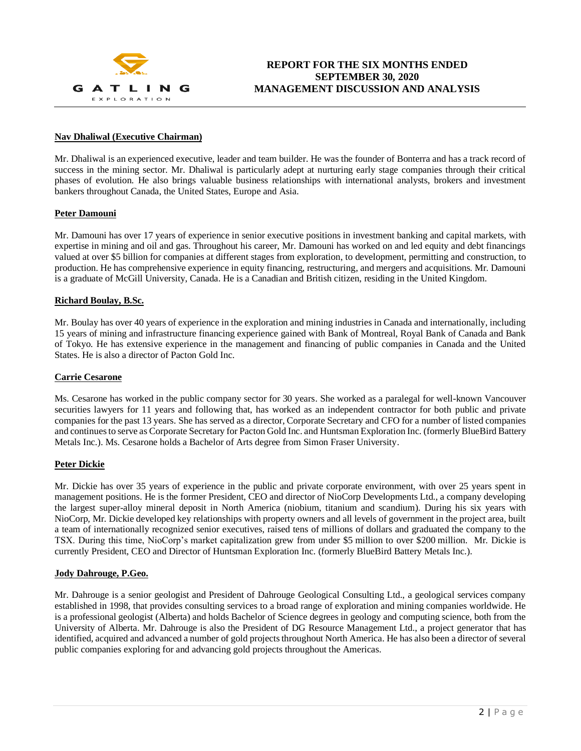

#### **Nav Dhaliwal (Executive Chairman)**

Mr. Dhaliwal is an experienced executive, leader and team builder. He was the founder of Bonterra and has a track record of success in the mining sector. Mr. Dhaliwal is particularly adept at nurturing early stage companies through their critical phases of evolution. He also brings valuable business relationships with international analysts, brokers and investment bankers throughout Canada, the United States, Europe and Asia.

#### **Peter Damouni**

Mr. Damouni has over 17 years of experience in senior executive positions in investment banking and capital markets, with expertise in mining and oil and gas. Throughout his career, Mr. Damouni has worked on and led equity and debt financings valued at over \$5 billion for companies at different stages from exploration, to development, permitting and construction, to production. He has comprehensive experience in equity financing, restructuring, and mergers and acquisitions. Mr. Damouni is a graduate of McGill University, Canada. He is a Canadian and British citizen, residing in the United Kingdom.

### **Richard Boulay, B.Sc.**

Mr. Boulay has over 40 years of experience in the exploration and mining industries in Canada and internationally, including 15 years of mining and infrastructure financing experience gained with Bank of Montreal, Royal Bank of Canada and Bank of Tokyo. He has extensive experience in the management and financing of public companies in Canada and the United States. He is also a director of Pacton Gold Inc.

#### **Carrie Cesarone**

Ms. Cesarone has worked in the public company sector for 30 years. She worked as a paralegal for well-known Vancouver securities lawyers for 11 years and following that, has worked as an independent contractor for both public and private companies for the past 13 years. She has served as a director, Corporate Secretary and CFO for a number of listed companies and continues to serve as Corporate Secretary for Pacton Gold Inc. and Huntsman Exploration Inc. (formerly BlueBird Battery Metals Inc.). Ms. Cesarone holds a Bachelor of Arts degree from Simon Fraser University.

## **Peter Dickie**

Mr. Dickie has over 35 years of experience in the public and private corporate environment, with over 25 years spent in management positions. He is the former President, CEO and director of NioCorp Developments Ltd., a company developing the largest super-alloy mineral deposit in North America (niobium, titanium and scandium). During his six years with NioCorp, Mr. Dickie developed key relationships with property owners and all levels of government in the project area, built a team of internationally recognized senior executives, raised tens of millions of dollars and graduated the company to the TSX. During this time, NioCorp's market capitalization grew from under \$5 million to over \$200 million. Mr. Dickie is currently President, CEO and Director of Huntsman Exploration Inc. (formerly BlueBird Battery Metals Inc.).

#### **Jody Dahrouge, P.Geo.**

Mr. Dahrouge is a senior geologist and President of Dahrouge Geological Consulting Ltd., a geological services company established in 1998, that provides consulting services to a broad range of exploration and mining companies worldwide. He is a professional geologist (Alberta) and holds Bachelor of Science degrees in geology and computing science, both from the University of Alberta. Mr. Dahrouge is also the President of DG Resource Management Ltd., a project generator that has identified, acquired and advanced a number of gold projects throughout North America. He has also been a director of several public companies exploring for and advancing gold projects throughout the Americas.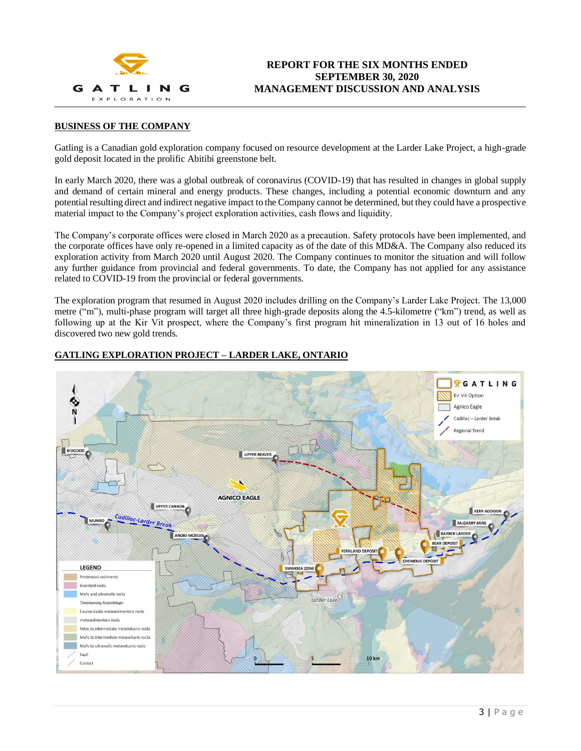

### **BUSINESS OF THE COMPANY**

Gatling is a Canadian gold exploration company focused on resource development at the Larder Lake Project, a high-grade gold deposit located in the prolific Abitibi greenstone belt.

In early March 2020, there was a global outbreak of coronavirus (COVID-19) that has resulted in changes in global supply and demand of certain mineral and energy products. These changes, including a potential economic downturn and any potential resulting direct and indirect negative impact to the Company cannot be determined, but they could have a prospective material impact to the Company's project exploration activities, cash flows and liquidity.

The Company's corporate offices were closed in March 2020 as a precaution. Safety protocols have been implemented, and the corporate offices have only re-opened in a limited capacity as of the date of this MD&A. The Company also reduced its exploration activity from March 2020 until August 2020. The Company continues to monitor the situation and will follow any further guidance from provincial and federal governments. To date, the Company has not applied for any assistance related to COVID-19 from the provincial or federal governments.

The exploration program that resumed in August 2020 includes drilling on the Company's Larder Lake Project. The 13,000 metre ("m"), multi-phase program will target all three high-grade deposits along the 4.5-kilometre ("km") trend, as well as following up at the Kir Vit prospect, where the Company's first program hit mineralization in 13 out of 16 holes and discovered two new gold trends.



### **GATLING EXPLORATION PROJECT – LARDER LAKE, ONTARIO**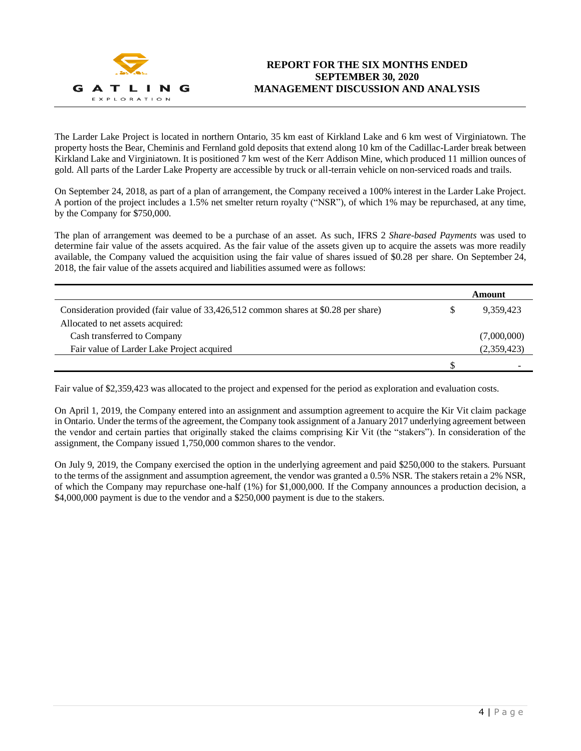

The Larder Lake Project is located in northern Ontario, 35 km east of Kirkland Lake and 6 km west of Virginiatown. The property hosts the Bear, Cheminis and Fernland gold deposits that extend along 10 km of the Cadillac-Larder break between Kirkland Lake and Virginiatown. It is positioned 7 km west of the Kerr Addison Mine, which produced 11 million ounces of gold. All parts of the Larder Lake Property are accessible by truck or all-terrain vehicle on non-serviced roads and trails.

On September 24, 2018, as part of a plan of arrangement, the Company received a 100% interest in the Larder Lake Project. A portion of the project includes a 1.5% net smelter return royalty ("NSR"), of which 1% may be repurchased, at any time, by the Company for \$750,000.

The plan of arrangement was deemed to be a purchase of an asset. As such, IFRS 2 *Share-based Payments* was used to determine fair value of the assets acquired. As the fair value of the assets given up to acquire the assets was more readily available, the Company valued the acquisition using the fair value of shares issued of \$0.28 per share. On September 24, 2018, the fair value of the assets acquired and liabilities assumed were as follows:

|                                                                                     |   | Amount      |
|-------------------------------------------------------------------------------------|---|-------------|
| Consideration provided (fair value of 33,426,512 common shares at \$0.28 per share) | S | 9,359,423   |
| Allocated to net assets acquired:                                                   |   |             |
| Cash transferred to Company                                                         |   | (7,000,000) |
| Fair value of Larder Lake Project acquired                                          |   | (2,359,423) |
|                                                                                     | S |             |

Fair value of \$2,359,423 was allocated to the project and expensed for the period as exploration and evaluation costs.

On April 1, 2019, the Company entered into an assignment and assumption agreement to acquire the Kir Vit claim package in Ontario. Under the terms of the agreement, the Company took assignment of a January 2017 underlying agreement between the vendor and certain parties that originally staked the claims comprising Kir Vit (the "stakers"). In consideration of the assignment, the Company issued 1,750,000 common shares to the vendor.

On July 9, 2019, the Company exercised the option in the underlying agreement and paid \$250,000 to the stakers. Pursuant to the terms of the assignment and assumption agreement, the vendor was granted a 0.5% NSR. The stakers retain a 2% NSR, of which the Company may repurchase one-half (1%) for \$1,000,000. If the Company announces a production decision, a \$4,000,000 payment is due to the vendor and a \$250,000 payment is due to the stakers.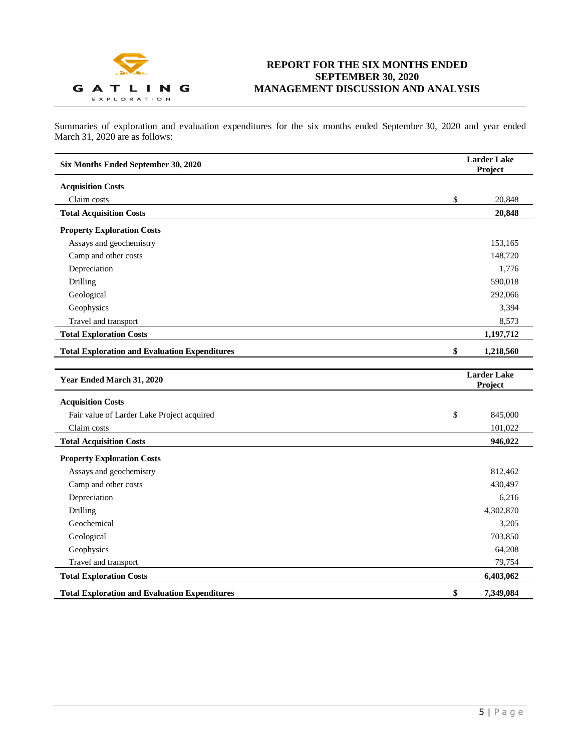

Summaries of exploration and evaluation expenditures for the six months ended September 30, 2020 and year ended March 31, 2020 are as follows:

| Six Months Ended September 30, 2020                  | <b>Larder Lake</b><br>Project |                               |
|------------------------------------------------------|-------------------------------|-------------------------------|
| <b>Acquisition Costs</b>                             |                               |                               |
| Claim costs                                          | \$                            | 20,848                        |
| <b>Total Acquisition Costs</b>                       |                               | 20,848                        |
| <b>Property Exploration Costs</b>                    |                               |                               |
| Assays and geochemistry                              |                               | 153,165                       |
| Camp and other costs                                 |                               | 148,720                       |
| Depreciation                                         |                               | 1,776                         |
| Drilling                                             |                               | 590,018                       |
| Geological                                           |                               | 292,066                       |
| Geophysics                                           |                               | 3,394                         |
| Travel and transport                                 |                               | 8,573                         |
| <b>Total Exploration Costs</b>                       |                               | 1,197,712                     |
| <b>Total Exploration and Evaluation Expenditures</b> | \$                            | 1,218,560                     |
|                                                      |                               |                               |
| Year Ended March 31, 2020                            |                               | <b>Larder Lake</b><br>Project |
| <b>Acquisition Costs</b>                             |                               |                               |
| Fair value of Larder Lake Project acquired           | \$                            | 845,000                       |
| Claim costs                                          |                               | 101,022                       |
| <b>Total Acquisition Costs</b>                       |                               | 946,022                       |
| <b>Property Exploration Costs</b>                    |                               |                               |
| Assays and geochemistry                              |                               | 812,462                       |
| Camp and other costs                                 |                               | 430,497                       |
| Depreciation                                         |                               | 6,216                         |
| Drilling                                             |                               | 4,302,870                     |
| Geochemical                                          |                               | 3,205                         |
| Geological                                           |                               | 703,850                       |
| Geophysics                                           |                               | 64,208                        |
| Travel and transport                                 |                               | 79,754                        |
| <b>Total Exploration Costs</b>                       |                               | 6,403,062                     |
| <b>Total Exploration and Evaluation Expenditures</b> | \$                            | 7,349,084                     |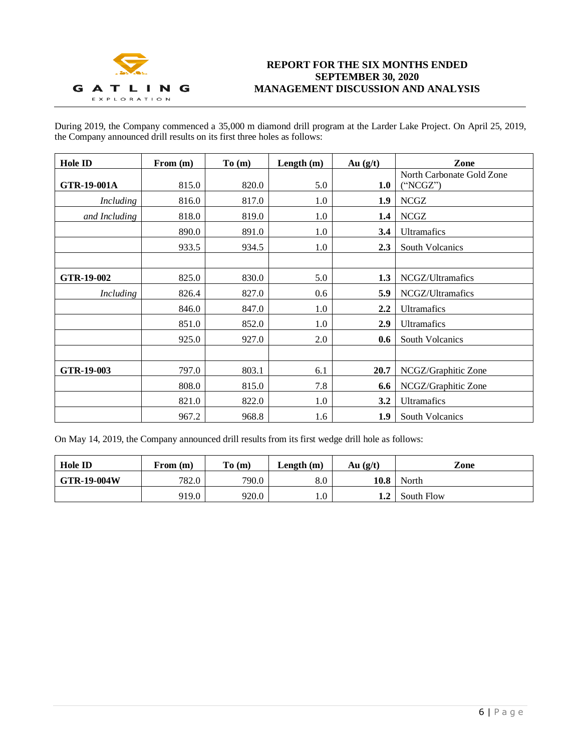

During 2019, the Company commenced a 35,000 m diamond drill program at the Larder Lake Project. On April 25, 2019, the Company announced drill results on its first three holes as follows:

| Hole ID          | From $(m)$ | To(m) | Length $(m)$ | Au $(g/t)$ | Zone                                 |
|------------------|------------|-------|--------------|------------|--------------------------------------|
| GTR-19-001A      | 815.0      | 820.0 | 5.0          | 1.0        | North Carbonate Gold Zone<br>"NCGZ") |
| Including        | 816.0      | 817.0 | 1.0          | 1.9        | <b>NCGZ</b>                          |
| and Including    | 818.0      | 819.0 | 1.0          | 1.4        | <b>NCGZ</b>                          |
|                  | 890.0      | 891.0 | 1.0          | 3.4        | <b>Ultramafics</b>                   |
|                  | 933.5      | 934.5 | 1.0          | 2.3        | <b>South Volcanics</b>               |
|                  |            |       |              |            |                                      |
| GTR-19-002       | 825.0      | 830.0 | 5.0          | 1.3        | NCGZ/Ultramafics                     |
| <b>Including</b> | 826.4      | 827.0 | 0.6          | 5.9        | NCGZ/Ultramafics                     |
|                  | 846.0      | 847.0 | 1.0          | 2.2        | <b>Ultramafics</b>                   |
|                  | 851.0      | 852.0 | 1.0          | 2.9        | <b>Ultramafics</b>                   |
|                  | 925.0      | 927.0 | 2.0          | 0.6        | <b>South Volcanics</b>               |
|                  |            |       |              |            |                                      |
| GTR-19-003       | 797.0      | 803.1 | 6.1          | 20.7       | NCGZ/Graphitic Zone                  |
|                  | 808.0      | 815.0 | 7.8          | 6.6        | NCGZ/Graphitic Zone                  |
|                  | 821.0      | 822.0 | 1.0          | 3.2        | <b>Ultramafics</b>                   |
|                  | 967.2      | 968.8 | 1.6          | 1.9        | <b>South Volcanics</b>               |

On May 14, 2019, the Company announced drill results from its first wedge drill hole as follows:

| <b>Hole ID</b>     | From (m) | To(m) | Length $(m)$ | Au $(g/t)$ | Zone       |
|--------------------|----------|-------|--------------|------------|------------|
| <b>GTR-19-004W</b> | 782.0    | 790.0 | $8.0\,$      | 10.8       | North      |
|                    | 919.0    | 920.0 | 1.0          | 1.2        | South Flow |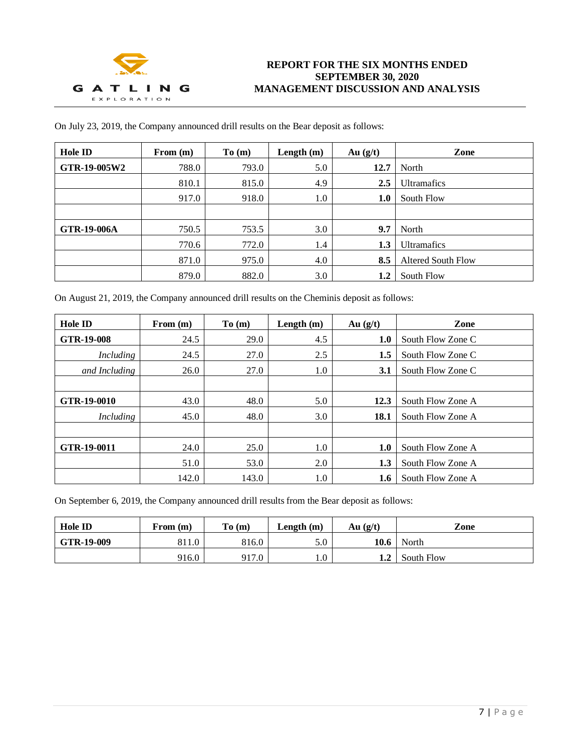

| <b>Hole ID</b>     | From $(m)$ | To(m) | Length $(m)$ | Au $(g/t)$ | Zone                      |
|--------------------|------------|-------|--------------|------------|---------------------------|
| GTR-19-005W2       | 788.0      | 793.0 | 5.0          | 12.7       | North                     |
|                    | 810.1      | 815.0 | 4.9          | 2.5        | <b>Ultramafics</b>        |
|                    | 917.0      | 918.0 | 1.0          | 1.0        | South Flow                |
|                    |            |       |              |            |                           |
| <b>GTR-19-006A</b> | 750.5      | 753.5 | 3.0          | 9.7        | North                     |
|                    | 770.6      | 772.0 | 1.4          | 1.3        | <b>Ultramafics</b>        |
|                    | 871.0      | 975.0 | 4.0          | 8.5        | <b>Altered South Flow</b> |
|                    | 879.0      | 882.0 | 3.0          | 1.2        | South Flow                |

On July 23, 2019, the Company announced drill results on the Bear deposit as follows:

On August 21, 2019, the Company announced drill results on the Cheminis deposit as follows:

| Hole ID       | From $(m)$ | To(m) | Length $(m)$ | Au $(g/t)$ | Zone              |
|---------------|------------|-------|--------------|------------|-------------------|
| GTR-19-008    | 24.5       | 29.0  | 4.5          | 1.0        | South Flow Zone C |
| Including     | 24.5       | 27.0  | 2.5          | 1.5        | South Flow Zone C |
| and Including | 26.0       | 27.0  | 1.0          | 3.1        | South Flow Zone C |
|               |            |       |              |            |                   |
| GTR-19-0010   | 43.0       | 48.0  | 5.0          | 12.3       | South Flow Zone A |
| Including     | 45.0       | 48.0  | 3.0          | 18.1       | South Flow Zone A |
|               |            |       |              |            |                   |
| GTR-19-0011   | 24.0       | 25.0  | 1.0          | 1.0        | South Flow Zone A |
|               | 51.0       | 53.0  | 2.0          | 1.3        | South Flow Zone A |
|               | 142.0      | 143.0 | 1.0          | 1.6        | South Flow Zone A |

On September 6, 2019, the Company announced drill results from the Bear deposit as follows:

| <b>Hole ID</b>          | From (m) | To(m) | Length $(m)$ | Au $(g/t)$        | Zone       |
|-------------------------|----------|-------|--------------|-------------------|------------|
| $\overline{GTR-19-009}$ | 811.0    | 816.0 | 5.0          | 10.6 <sub>1</sub> | North      |
|                         | 916.0    | 917.0 | 1.0          | 1.2               | South Flow |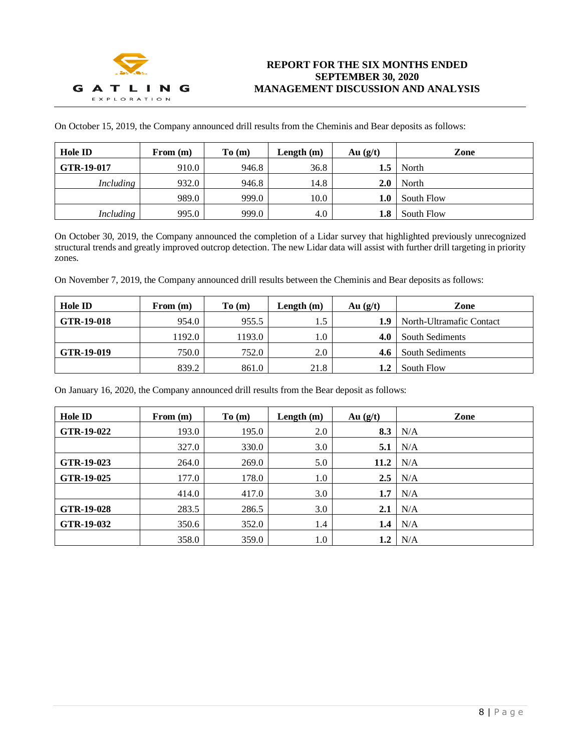

On October 15, 2019, the Company announced drill results from the Cheminis and Bear deposits as follows:

| <b>Hole ID</b>   | From $(m)$ | To(m) | Length $(m)$ | Au $(g/t)$ | Zone       |
|------------------|------------|-------|--------------|------------|------------|
| GTR-19-017       | 910.0      | 946.8 | 36.8         | 1.5        | North      |
| <i>Including</i> | 932.0      | 946.8 | 14.8         | 2.0        | North      |
|                  | 989.0      | 999.0 | 10.0         | 1.0        | South Flow |
| <i>Including</i> | 995.0      | 999.0 | 4.0          | 1.8        | South Flow |

On October 30, 2019, the Company announced the completion of a Lidar survey that highlighted previously unrecognized structural trends and greatly improved outcrop detection. The new Lidar data will assist with further drill targeting in priority zones.

On November 7, 2019, the Company announced drill results between the Cheminis and Bear deposits as follows:

| <b>Hole ID</b> | From $(m)$ | To(m)  | Length $(m)$ | Au $(g/t)$ | Zone                     |
|----------------|------------|--------|--------------|------------|--------------------------|
| GTR-19-018     | 954.0      | 955.5  | 1.5          | 1.9        | North-Ultramafic Contact |
|                | 1192.0     | 1193.0 | 1.0          | 4.0        | South Sediments          |
| GTR-19-019     | 750.0      | 752.0  | 2.0          |            | <b>South Sediments</b>   |
|                | 839.2      | 861.0  | 21.8         | 1.2        | South Flow               |

On January 16, 2020, the Company announced drill results from the Bear deposit as follows:

| Hole ID    | From $(m)$ | To(m) | Length $(m)$ | Au $(g/t)$ | Zone |
|------------|------------|-------|--------------|------------|------|
| GTR-19-022 | 193.0      | 195.0 | 2.0          | 8.3        | N/A  |
|            | 327.0      | 330.0 | 3.0          | 5.1        | N/A  |
| GTR-19-023 | 264.0      | 269.0 | 5.0          | 11.2       | N/A  |
| GTR-19-025 | 177.0      | 178.0 | 1.0          | 2.5        | N/A  |
|            | 414.0      | 417.0 | 3.0          | 1.7        | N/A  |
| GTR-19-028 | 283.5      | 286.5 | 3.0          | 2.1        | N/A  |
| GTR-19-032 | 350.6      | 352.0 | 1.4          | 1.4        | N/A  |
|            | 358.0      | 359.0 | 1.0          | $1.2\,$    | N/A  |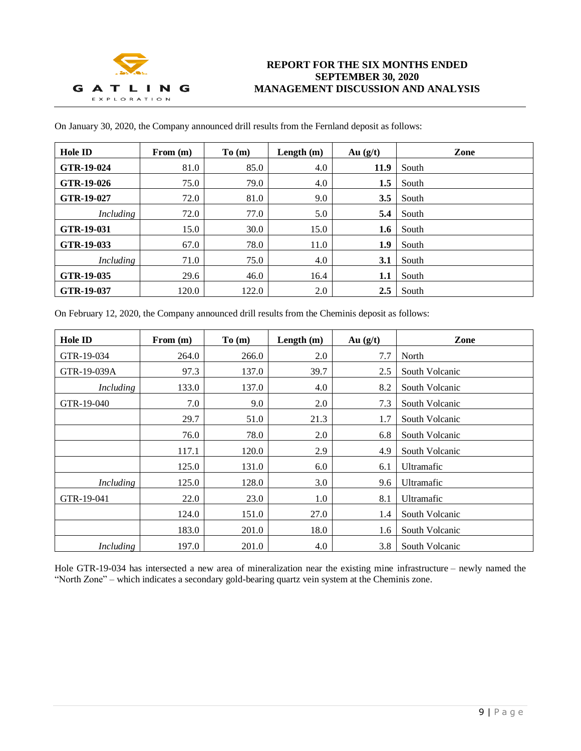

| <b>Hole ID</b> | From $(m)$ | To(m)       | Length (m) | Au $(g/t)$ | Zone  |
|----------------|------------|-------------|------------|------------|-------|
| GTR-19-024     | 81.0       | 85.0        | 4.0        | 11.9       | South |
| GTR-19-026     | 75.0       | 79.0        | 4.0        | 1.5        | South |
| GTR-19-027     | 72.0       | 81.0        | 9.0        | 3.5        | South |
| Including      | 72.0       | 77.0        | 5.0        | 5.4        | South |
| GTR-19-031     | 15.0       | <b>30.0</b> | 15.0       | 1.6        | South |
| GTR-19-033     | 67.0       | 78.0        | 11.0       | 1.9        | South |
| Including      | 71.0       | 75.0        | 4.0        | 3.1        | South |
| GTR-19-035     | 29.6       | 46.0        | 16.4       | 1.1        | South |
| GTR-19-037     | 120.0      | 122.0       | 2.0        | 2.5        | South |

On January 30, 2020, the Company announced drill results from the Fernland deposit as follows:

On February 12, 2020, the Company announced drill results from the Cheminis deposit as follows:

| <b>Hole ID</b>   | From $(m)$ | To(m) | Length $(m)$ | Au $(g/t)$ | Zone              |
|------------------|------------|-------|--------------|------------|-------------------|
| GTR-19-034       | 264.0      | 266.0 | 2.0          | 7.7        | North             |
| GTR-19-039A      | 97.3       | 137.0 | 39.7         | 2.5        | South Volcanic    |
| <b>Including</b> | 133.0      | 137.0 | 4.0          | 8.2        | South Volcanic    |
| GTR-19-040       | 7.0        | 9.0   | 2.0          | 7.3        | South Volcanic    |
|                  | 29.7       | 51.0  | 21.3         | 1.7        | South Volcanic    |
|                  | 76.0       | 78.0  | 2.0          | 6.8        | South Volcanic    |
|                  | 117.1      | 120.0 | 2.9          | 4.9        | South Volcanic    |
|                  | 125.0      | 131.0 | 6.0          | 6.1        | <b>Ultramafic</b> |
| <b>Including</b> | 125.0      | 128.0 | 3.0          | 9.6        | Ultramafic        |
| GTR-19-041       | 22.0       | 23.0  | 1.0          | 8.1        | Ultramafic        |
|                  | 124.0      | 151.0 | 27.0         | 1.4        | South Volcanic    |
|                  | 183.0      | 201.0 | 18.0         | 1.6        | South Volcanic    |
| <i>Including</i> | 197.0      | 201.0 | 4.0          | 3.8        | South Volcanic    |

Hole GTR-19-034 has intersected a new area of mineralization near the existing mine infrastructure – newly named the "North Zone" – which indicates a secondary gold-bearing quartz vein system at the Cheminis zone.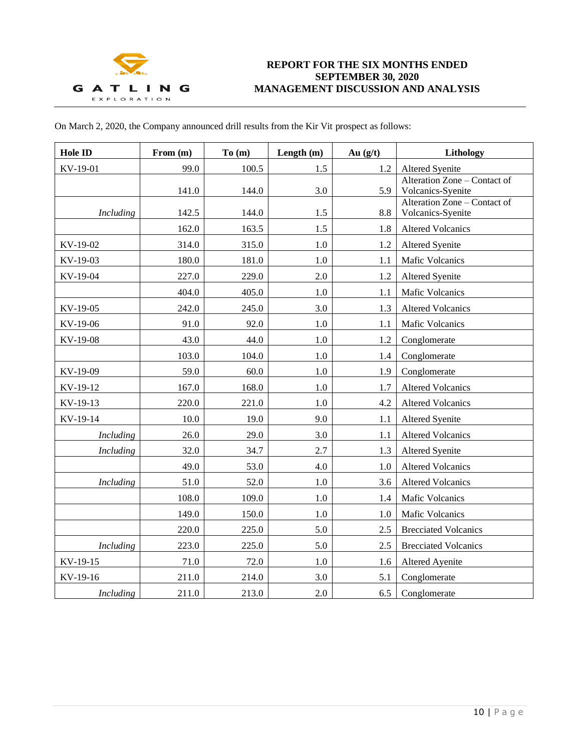

| On March 2, 2020, the Company announced drill results from the Kir Vit prospect as follows: |  |
|---------------------------------------------------------------------------------------------|--|
|---------------------------------------------------------------------------------------------|--|

| Hole ID          | From (m) | To(m) | Length $(m)$ | Au $(g/t)$ | Lithology                                         |
|------------------|----------|-------|--------------|------------|---------------------------------------------------|
| KV-19-01         | 99.0     | 100.5 | 1.5          | 1.2        | <b>Altered Syenite</b>                            |
|                  | 141.0    | 144.0 | 3.0          | 5.9        | Alteration Zone - Contact of<br>Volcanics-Syenite |
| <b>Including</b> | 142.5    | 144.0 | 1.5          | 8.8        | Alteration Zone - Contact of<br>Volcanics-Syenite |
|                  | 162.0    | 163.5 | 1.5          | 1.8        | <b>Altered Volcanics</b>                          |
| KV-19-02         | 314.0    | 315.0 | 1.0          | 1.2        | <b>Altered Syenite</b>                            |
| KV-19-03         | 180.0    | 181.0 | 1.0          | 1.1        | <b>Mafic Volcanics</b>                            |
| KV-19-04         | 227.0    | 229.0 | 2.0          | 1.2        | <b>Altered Syenite</b>                            |
|                  | 404.0    | 405.0 | 1.0          | 1.1        | Mafic Volcanics                                   |
| KV-19-05         | 242.0    | 245.0 | 3.0          | 1.3        | <b>Altered Volcanics</b>                          |
| KV-19-06         | 91.0     | 92.0  | 1.0          | 1.1        | <b>Mafic Volcanics</b>                            |
| KV-19-08         | 43.0     | 44.0  | 1.0          | 1.2        | Conglomerate                                      |
|                  | 103.0    | 104.0 | 1.0          | 1.4        | Conglomerate                                      |
| KV-19-09         | 59.0     | 60.0  | 1.0          | 1.9        | Conglomerate                                      |
| KV-19-12         | 167.0    | 168.0 | 1.0          | 1.7        | <b>Altered Volcanics</b>                          |
| KV-19-13         | 220.0    | 221.0 | 1.0          | 4.2        | <b>Altered Volcanics</b>                          |
| KV-19-14         | 10.0     | 19.0  | 9.0          | 1.1        | <b>Altered Syenite</b>                            |
| <b>Including</b> | 26.0     | 29.0  | 3.0          | 1.1        | <b>Altered Volcanics</b>                          |
| <b>Including</b> | 32.0     | 34.7  | 2.7          | 1.3        | <b>Altered Syenite</b>                            |
|                  | 49.0     | 53.0  | 4.0          | 1.0        | <b>Altered Volcanics</b>                          |
| <b>Including</b> | 51.0     | 52.0  | 1.0          | 3.6        | <b>Altered Volcanics</b>                          |
|                  | 108.0    | 109.0 | 1.0          | 1.4        | <b>Mafic Volcanics</b>                            |
|                  | 149.0    | 150.0 | 1.0          | 1.0        | Mafic Volcanics                                   |
|                  | 220.0    | 225.0 | 5.0          | 2.5        | <b>Brecciated Volcanics</b>                       |
| <b>Including</b> | 223.0    | 225.0 | 5.0          | 2.5        | <b>Brecciated Volcanics</b>                       |
| KV-19-15         | 71.0     | 72.0  | 1.0          | 1.6        | <b>Altered Ayenite</b>                            |
| KV-19-16         | 211.0    | 214.0 | 3.0          | 5.1        | Conglomerate                                      |
| <i>Including</i> | 211.0    | 213.0 | 2.0          | 6.5        | Conglomerate                                      |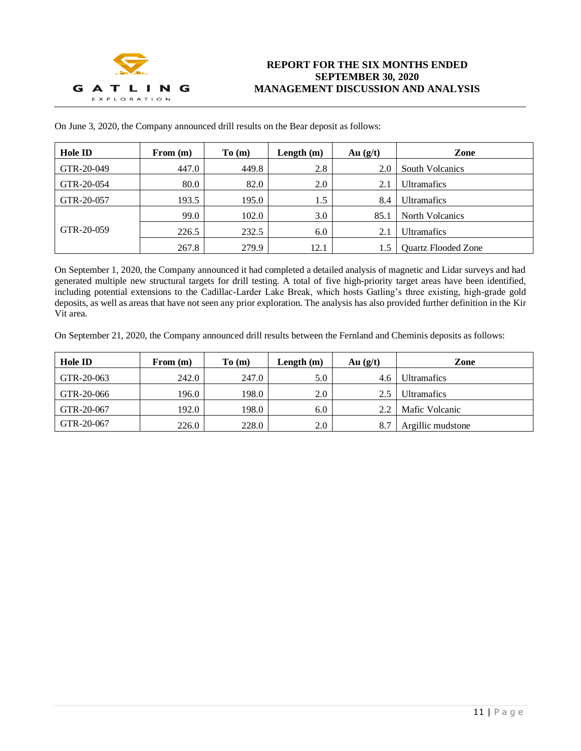

| Hole ID    | From $(m)$ | To(m) | Length $(m)$ | Au $(g/t)$ | Zone                       |
|------------|------------|-------|--------------|------------|----------------------------|
| GTR-20-049 | 447.0      | 449.8 | 2.8          | 2.0        | <b>South Volcanics</b>     |
| GTR-20-054 | 80.0       | 82.0  | 2.0          | 2.1        | <b>Ultramafics</b>         |
| GTR-20-057 | 193.5      | 195.0 | 1.5          | 8.4        | <b>Ultramafics</b>         |
|            | 99.0       | 102.0 | 3.0          | 85.        | North Volcanics            |
| GTR-20-059 | 226.5      | 232.5 | 6.0          | 2.1        | <b>Ultramafics</b>         |
|            | 267.8      | 279.9 | 12.1         |            | <b>Quartz Flooded Zone</b> |

On June 3, 2020, the Company announced drill results on the Bear deposit as follows:

On September 1, 2020, the Company announced it had completed a detailed analysis of magnetic and Lidar surveys and had generated multiple new structural targets for drill testing. A total of five high-priority target areas have been identified, including potential extensions to the Cadillac-Larder Lake Break, which hosts Gatling's three existing, high-grade gold deposits, as well as areas that have not seen any prior exploration. The analysis has also provided further definition in the Kir Vit area.

On September 21, 2020, the Company announced drill results between the Fernland and Cheminis deposits as follows:

| Hole ID    | From $(m)$ | To(m) | Length $(m)$ | Au $(g/t)$ | Zone               |
|------------|------------|-------|--------------|------------|--------------------|
| GTR-20-063 | 242.0      | 247.0 | 5.0          | 4.6        | <b>Ultramafics</b> |
| GTR-20-066 | 196.0      | 198.0 | 2.0          |            | <b>Ultramafics</b> |
| GTR-20-067 | 192.0      | 198.0 | 6.0          |            | Mafic Volcanic     |
| GTR-20-067 | 226.0      | 228.0 | 2.0          |            | Argillic mudstone  |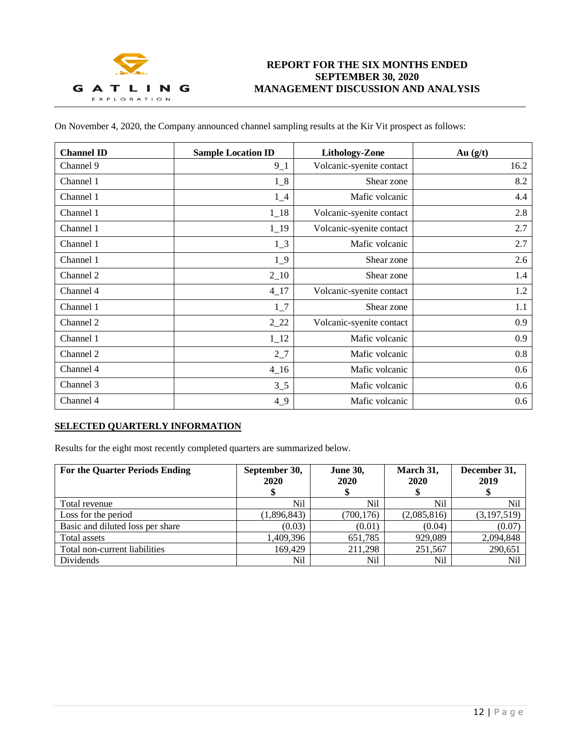

On November 4, 2020, the Company announced channel sampling results at the Kir Vit prospect as follows:

| <b>Channel ID</b> | <b>Sample Location ID</b> | <b>Lithology-Zone</b>    | Au $(g/t)$ |
|-------------------|---------------------------|--------------------------|------------|
| Channel 9         | $9 - 1$                   | Volcanic-syenite contact | 16.2       |
| Channel 1         | $1_{-}8$                  | Shear zone               | 8.2        |
| Channel 1         | $1_4$                     | Mafic volcanic           | 4.4        |
| Channel 1         | $1_{18}$                  | Volcanic-syenite contact | 2.8        |
| Channel 1         | $1 - 19$                  | Volcanic-syenite contact | 2.7        |
| Channel 1         | $1_{-}3$                  | Mafic volcanic           | 2.7        |
| Channel 1         | $1_{-}9$                  | Shear zone               | 2.6        |
| Channel 2         | $2 - 10$                  | Shear zone               | 1.4        |
| Channel 4         | $4 - 17$                  | Volcanic-syenite contact | 1.2        |
| Channel 1         | $1\degree$                | Shear zone               | 1.1        |
| Channel 2         | $2_{22}$                  | Volcanic-syenite contact | 0.9        |
| Channel 1         | $1_{12}$                  | Mafic volcanic           | 0.9        |
| Channel 2         | $2-7$                     | Mafic volcanic           | 0.8        |
| Channel 4         | $4_{16}$                  | Mafic volcanic           | 0.6        |
| Channel 3         | $3\_5$                    | Mafic volcanic           | 0.6        |
| Channel 4         | 49                        | Mafic volcanic           | 0.6        |

## **SELECTED QUARTERLY INFORMATION**

Results for the eight most recently completed quarters are summarized below.

| <b>For the Quarter Periods Ending</b> | September 30,<br>2020 | <b>June 30,</b><br>2020<br>\$ | March 31,<br>2020 | December 31,<br>2019 |
|---------------------------------------|-----------------------|-------------------------------|-------------------|----------------------|
| Total revenue                         | Nil                   | Nil                           | Nil               | Nil                  |
| Loss for the period                   | (1,896,843)           | (700, 176)                    | (2,085,816)       | (3,197,519)          |
| Basic and diluted loss per share      | (0.03)                | (0.01)                        | (0.04)            | (0.07)               |
| Total assets                          | 1,409,396             | 651,785                       | 929,089           | 2,094,848            |
| Total non-current liabilities         | 169.429               | 211.298                       | 251,567           | 290,651              |
| Dividends                             | Nil                   | Nil                           | Nil               | Nil                  |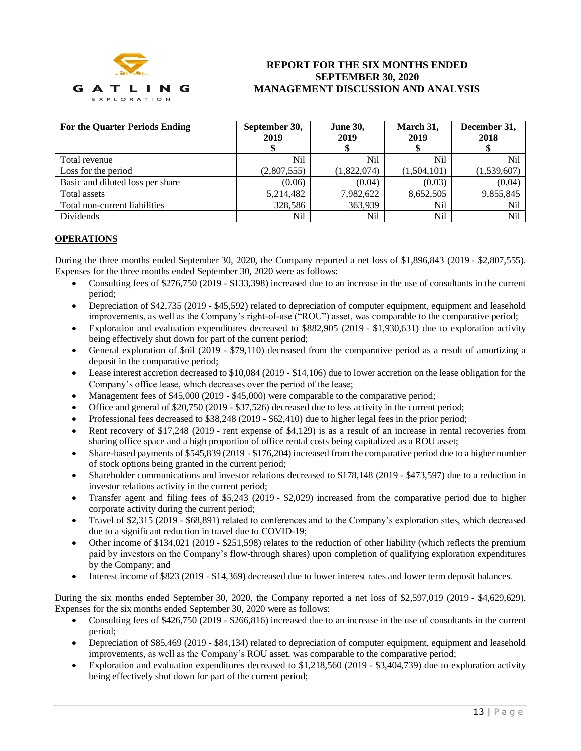

| <b>For the Quarter Periods Ending</b> | September 30,<br>2019 | <b>June 30,</b><br>2019 | March 31,<br>2019 | December 31,<br>2018 |
|---------------------------------------|-----------------------|-------------------------|-------------------|----------------------|
| Total revenue                         | Nil                   | Nil                     | Nil               | Nil                  |
| Loss for the period                   | (2,807,555)           | (1,822,074)             | (1,504,101)       | (1,539,607)          |
| Basic and diluted loss per share      | (0.06)                | (0.04)                  | (0.03)            | (0.04)               |
| Total assets                          | 5,214,482             | 7,982,622               | 8,652,505         | 9,855,845            |
| Total non-current liabilities         | 328,586               | 363,939                 | Nil               | Nil                  |
| Dividends                             | Nil                   | Nil                     | Nil               | Nil                  |

## **OPERATIONS**

During the three months ended September 30, 2020, the Company reported a net loss of \$1,896,843 (2019 - \$2,807,555). Expenses for the three months ended September 30, 2020 were as follows:

- Consulting fees of \$276,750 (2019 \$133,398) increased due to an increase in the use of consultants in the current period;
- Depreciation of \$42,735 (2019 \$45,592) related to depreciation of computer equipment, equipment and leasehold improvements, as well as the Company's right-of-use ("ROU") asset, was comparable to the comparative period;
- Exploration and evaluation expenditures decreased to \$882,905 (2019 \$1,930,631) due to exploration activity being effectively shut down for part of the current period;
- General exploration of \$nil (2019 \$79,110) decreased from the comparative period as a result of amortizing a deposit in the comparative period;
- Lease interest accretion decreased to \$10,084 (2019 \$14,106) due to lower accretion on the lease obligation for the Company's office lease, which decreases over the period of the lease;
- Management fees of \$45,000 (2019 \$45,000) were comparable to the comparative period;
- Office and general of \$20,750 (2019 \$37,526) decreased due to less activity in the current period;
- Professional fees decreased to \$38,248 (2019 \$62,410) due to higher legal fees in the prior period;
- Rent recovery of \$17,248 (2019 rent expense of \$4,129) is as a result of an increase in rental recoveries from sharing office space and a high proportion of office rental costs being capitalized as a ROU asset;
- Share-based payments of \$545,839 (2019 \$176,204) increased from the comparative period due to a higher number of stock options being granted in the current period;
- Shareholder communications and investor relations decreased to \$178,148 (2019 \$473,597) due to a reduction in investor relations activity in the current period;
- Transfer agent and filing fees of \$5,243 (2019 \$2,029) increased from the comparative period due to higher corporate activity during the current period;
- Travel of \$2,315 (2019 \$68,891) related to conferences and to the Company's exploration sites, which decreased due to a significant reduction in travel due to COVID-19;
- Other income of \$134,021 (2019 \$251,598) relates to the reduction of other liability (which reflects the premium paid by investors on the Company's flow-through shares) upon completion of qualifying exploration expenditures by the Company; and
- Interest income of \$823 (2019 \$14,369) decreased due to lower interest rates and lower term deposit balances.

During the six months ended September 30, 2020, the Company reported a net loss of \$2,597,019 (2019 - \$4,629,629). Expenses for the six months ended September 30, 2020 were as follows:

- Consulting fees of \$426,750 (2019 \$266,816) increased due to an increase in the use of consultants in the current period;
- Depreciation of \$85,469 (2019 \$84,134) related to depreciation of computer equipment, equipment and leasehold improvements, as well as the Company's ROU asset, was comparable to the comparative period;
- Exploration and evaluation expenditures decreased to  $$1,218,560$  (2019  $$3,404,739$ ) due to exploration activity being effectively shut down for part of the current period;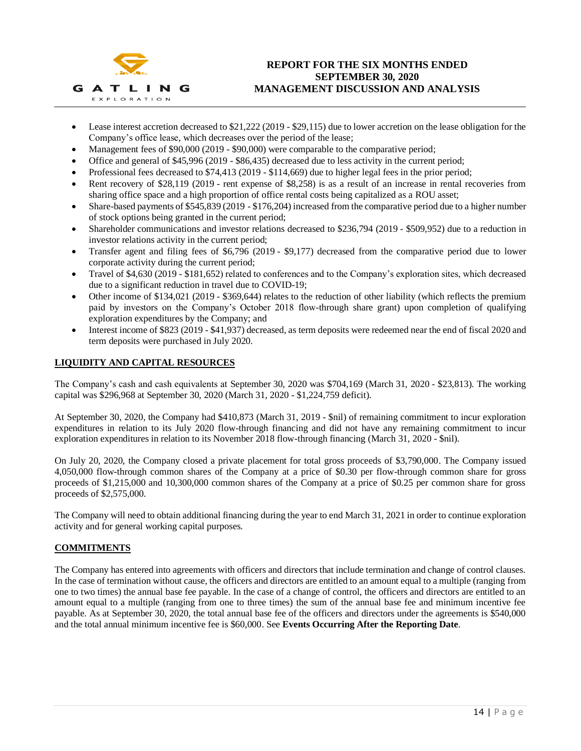

- Lease interest accretion decreased to \$21,222 (2019 \$29,115) due to lower accretion on the lease obligation for the Company's office lease, which decreases over the period of the lease;
- Management fees of \$90,000 (2019 \$90,000) were comparable to the comparative period;
- Office and general of \$45,996 (2019 \$86,435) decreased due to less activity in the current period;
- Professional fees decreased to \$74,413 (2019 \$114,669) due to higher legal fees in the prior period;
- Rent recovery of \$28,119 (2019 rent expense of \$8,258) is as a result of an increase in rental recoveries from sharing office space and a high proportion of office rental costs being capitalized as a ROU asset;
- Share-based payments of \$545,839 (2019 \$176,204) increased from the comparative period due to a higher number of stock options being granted in the current period;
- Shareholder communications and investor relations decreased to \$236,794 (2019 \$509,952) due to a reduction in investor relations activity in the current period;
- Transfer agent and filing fees of \$6,796 (2019 \$9,177) decreased from the comparative period due to lower corporate activity during the current period;
- Travel of \$4,630 (2019 \$181,652) related to conferences and to the Company's exploration sites, which decreased due to a significant reduction in travel due to COVID-19;
- Other income of \$134,021 (2019 \$369,644) relates to the reduction of other liability (which reflects the premium paid by investors on the Company's October 2018 flow-through share grant) upon completion of qualifying exploration expenditures by the Company; and
- Interest income of \$823 (2019 \$41,937) decreased, as term deposits were redeemed near the end of fiscal 2020 and term deposits were purchased in July 2020.

## **LIQUIDITY AND CAPITAL RESOURCES**

The Company's cash and cash equivalents at September 30, 2020 was \$704,169 (March 31, 2020 - \$23,813). The working capital was \$296,968 at September 30, 2020 (March 31, 2020 - \$1,224,759 deficit).

At September 30, 2020, the Company had \$410,873 (March 31, 2019 - \$nil) of remaining commitment to incur exploration expenditures in relation to its July 2020 flow-through financing and did not have any remaining commitment to incur exploration expenditures in relation to its November 2018 flow-through financing (March 31, 2020 - \$nil).

On July 20, 2020, the Company closed a private placement for total gross proceeds of \$3,790,000. The Company issued 4,050,000 flow-through common shares of the Company at a price of \$0.30 per flow-through common share for gross proceeds of \$1,215,000 and 10,300,000 common shares of the Company at a price of \$0.25 per common share for gross proceeds of \$2,575,000.

The Company will need to obtain additional financing during the year to end March 31, 2021 in order to continue exploration activity and for general working capital purposes.

## **COMMITMENTS**

The Company has entered into agreements with officers and directors that include termination and change of control clauses. In the case of termination without cause, the officers and directors are entitled to an amount equal to a multiple (ranging from one to two times) the annual base fee payable. In the case of a change of control, the officers and directors are entitled to an amount equal to a multiple (ranging from one to three times) the sum of the annual base fee and minimum incentive fee payable. As at September 30, 2020, the total annual base fee of the officers and directors under the agreements is \$540,000 and the total annual minimum incentive fee is \$60,000. See **Events Occurring After the Reporting Date**.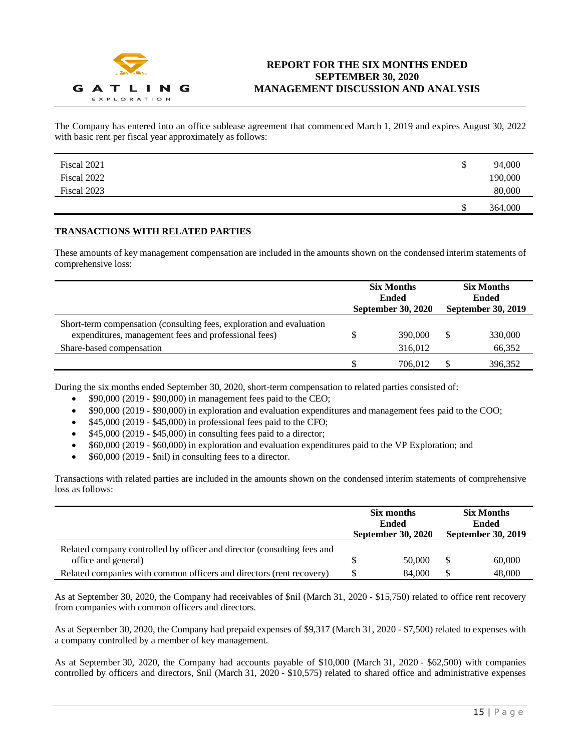

The Company has entered into an office sublease agreement that commenced March 1, 2019 and expires August 30, 2022 with basic rent per fiscal year approximately as follows:

| Fiscal 2021 | \$<br>94,000  |
|-------------|---------------|
| Fiscal 2022 | 190,000       |
| Fiscal 2023 | 80,000        |
|             | \$<br>364,000 |

## **TRANSACTIONS WITH RELATED PARTIES**

These amounts of key management compensation are included in the amounts shown on the condensed interim statements of comprehensive loss:

|                                                                                                                                                          | <b>Six Months</b><br>Ended<br>September 30, 2020 |                    | <b>Six Months</b><br><b>Ended</b><br><b>September 30, 2019</b> |                   |
|----------------------------------------------------------------------------------------------------------------------------------------------------------|--------------------------------------------------|--------------------|----------------------------------------------------------------|-------------------|
| Short-term compensation (consulting fees, exploration and evaluation<br>expenditures, management fees and professional fees)<br>Share-based compensation |                                                  | 390,000<br>316,012 |                                                                | 330,000<br>66,352 |
|                                                                                                                                                          |                                                  | 706.012            |                                                                | 396,352           |

During the six months ended September 30, 2020, short-term compensation to related parties consisted of:

- \$90,000 (2019 \$90,000) in management fees paid to the CEO;
- \$90,000 (2019 \$90,000) in exploration and evaluation expenditures and management fees paid to the COO;
- \$45,000 (2019 \$45,000) in professional fees paid to the CFO;
- $$45,000 (2019 $45,000)$  in consulting fees paid to a director;
- \$60,000 (2019 \$60,000) in exploration and evaluation expenditures paid to the VP Exploration; and
- \$60,000 (2019 \$nil) in consulting fees to a director.

Transactions with related parties are included in the amounts shown on the condensed interim statements of comprehensive loss as follows:

|                                                                                                | Six months<br>Ended<br><b>September 30, 2020</b> |        | <b>Six Months</b><br>Ended<br><b>September 30, 2019</b> |        |
|------------------------------------------------------------------------------------------------|--------------------------------------------------|--------|---------------------------------------------------------|--------|
| Related company controlled by officer and director (consulting fees and<br>office and general) |                                                  | 50,000 | \$.                                                     | 60,000 |
| Related companies with common officers and directors (rent recovery)                           |                                                  | 84,000 |                                                         | 48,000 |

As at September 30, 2020, the Company had receivables of \$nil (March 31, 2020 - \$15,750) related to office rent recovery from companies with common officers and directors.

As at September 30, 2020, the Company had prepaid expenses of \$9,317 (March 31, 2020 - \$7,500) related to expenses with a company controlled by a member of key management.

As at September 30, 2020, the Company had accounts payable of \$10,000 (March 31, 2020 - \$62,500) with companies controlled by officers and directors, \$nil (March 31, 2020 - \$10,575) related to shared office and administrative expenses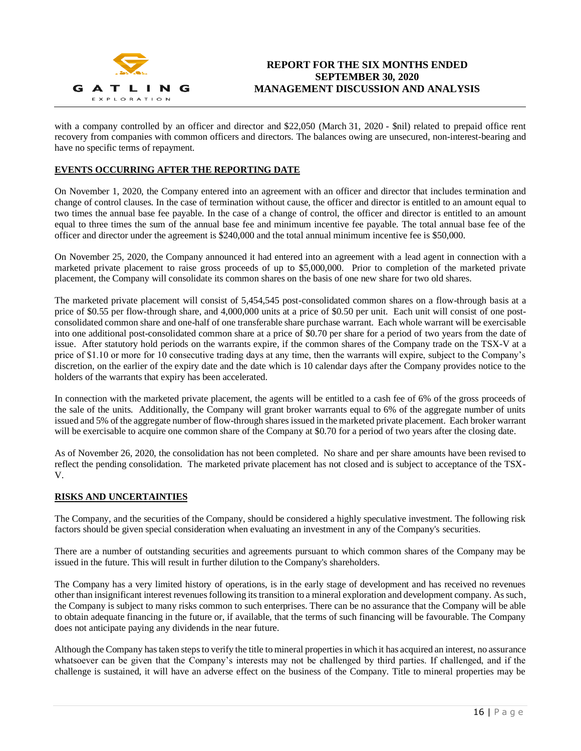

with a company controlled by an officer and director and \$22,050 (March 31, 2020 - \$nil) related to prepaid office rent recovery from companies with common officers and directors. The balances owing are unsecured, non-interest-bearing and have no specific terms of repayment.

## **EVENTS OCCURRING AFTER THE REPORTING DATE**

On November 1, 2020, the Company entered into an agreement with an officer and director that includes termination and change of control clauses. In the case of termination without cause, the officer and director is entitled to an amount equal to two times the annual base fee payable. In the case of a change of control, the officer and director is entitled to an amount equal to three times the sum of the annual base fee and minimum incentive fee payable. The total annual base fee of the officer and director under the agreement is \$240,000 and the total annual minimum incentive fee is \$50,000.

On November 25, 2020, the Company announced it had entered into an agreement with a lead agent in connection with a marketed private placement to raise gross proceeds of up to \$5,000,000. Prior to completion of the marketed private placement, the Company will consolidate its common shares on the basis of one new share for two old shares.

The marketed private placement will consist of 5,454,545 post-consolidated common shares on a flow-through basis at a price of \$0.55 per flow-through share, and 4,000,000 units at a price of \$0.50 per unit. Each unit will consist of one postconsolidated common share and one-half of one transferable share purchase warrant. Each whole warrant will be exercisable into one additional post-consolidated common share at a price of \$0.70 per share for a period of two years from the date of issue. After statutory hold periods on the warrants expire, if the common shares of the Company trade on the TSX-V at a price of \$1.10 or more for 10 consecutive trading days at any time, then the warrants will expire, subject to the Company's discretion, on the earlier of the expiry date and the date which is 10 calendar days after the Company provides notice to the holders of the warrants that expiry has been accelerated.

In connection with the marketed private placement, the agents will be entitled to a cash fee of 6% of the gross proceeds of the sale of the units. Additionally, the Company will grant broker warrants equal to 6% of the aggregate number of units issued and 5% of the aggregate number of flow-through shares issued in the marketed private placement. Each broker warrant will be exercisable to acquire one common share of the Company at \$0.70 for a period of two years after the closing date.

As of November 26, 2020, the consolidation has not been completed. No share and per share amounts have been revised to reflect the pending consolidation. The marketed private placement has not closed and is subject to acceptance of the TSX-V.

## **RISKS AND UNCERTAINTIES**

The Company, and the securities of the Company, should be considered a highly speculative investment. The following risk factors should be given special consideration when evaluating an investment in any of the Company's securities.

There are a number of outstanding securities and agreements pursuant to which common shares of the Company may be issued in the future. This will result in further dilution to the Company's shareholders.

The Company has a very limited history of operations, is in the early stage of development and has received no revenues other than insignificant interest revenues following its transition to a mineral exploration and development company. As such, the Company is subject to many risks common to such enterprises. There can be no assurance that the Company will be able to obtain adequate financing in the future or, if available, that the terms of such financing will be favourable. The Company does not anticipate paying any dividends in the near future.

Although the Company has taken steps to verify the title to mineral properties in which it has acquired an interest, no assurance whatsoever can be given that the Company's interests may not be challenged by third parties. If challenged, and if the challenge is sustained, it will have an adverse effect on the business of the Company. Title to mineral properties may be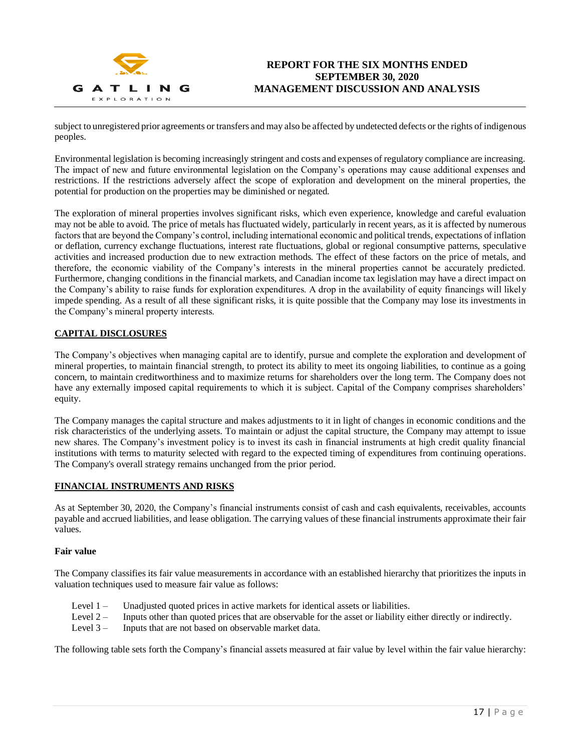

subject to unregistered prior agreements or transfers and may also be affected by undetected defects or the rights of indigenous peoples.

Environmental legislation is becoming increasingly stringent and costs and expenses of regulatory compliance are increasing. The impact of new and future environmental legislation on the Company's operations may cause additional expenses and restrictions. If the restrictions adversely affect the scope of exploration and development on the mineral properties, the potential for production on the properties may be diminished or negated.

The exploration of mineral properties involves significant risks, which even experience, knowledge and careful evaluation may not be able to avoid. The price of metals has fluctuated widely, particularly in recent years, as it is affected by numerous factors that are beyond the Company's control, including international economic and political trends, expectations of inflation or deflation, currency exchange fluctuations, interest rate fluctuations, global or regional consumptive patterns, speculative activities and increased production due to new extraction methods. The effect of these factors on the price of metals, and therefore, the economic viability of the Company's interests in the mineral properties cannot be accurately predicted. Furthermore, changing conditions in the financial markets, and Canadian income tax legislation may have a direct impact on the Company's ability to raise funds for exploration expenditures. A drop in the availability of equity financings will likely impede spending. As a result of all these significant risks, it is quite possible that the Company may lose its investments in the Company's mineral property interests.

## **CAPITAL DISCLOSURES**

The Company's objectives when managing capital are to identify, pursue and complete the exploration and development of mineral properties, to maintain financial strength, to protect its ability to meet its ongoing liabilities, to continue as a going concern, to maintain creditworthiness and to maximize returns for shareholders over the long term. The Company does not have any externally imposed capital requirements to which it is subject. Capital of the Company comprises shareholders' equity.

The Company manages the capital structure and makes adjustments to it in light of changes in economic conditions and the risk characteristics of the underlying assets. To maintain or adjust the capital structure, the Company may attempt to issue new shares. The Company's investment policy is to invest its cash in financial instruments at high credit quality financial institutions with terms to maturity selected with regard to the expected timing of expenditures from continuing operations. The Company's overall strategy remains unchanged from the prior period.

## **FINANCIAL INSTRUMENTS AND RISKS**

As at September 30, 2020, the Company's financial instruments consist of cash and cash equivalents, receivables, accounts payable and accrued liabilities, and lease obligation. The carrying values of these financial instruments approximate their fair values.

#### **Fair value**

The Company classifies its fair value measurements in accordance with an established hierarchy that prioritizes the inputs in valuation techniques used to measure fair value as follows:

- Level 1 Unadjusted quoted prices in active markets for identical assets or liabilities.
- Level 2 Inputs other than quoted prices that are observable for the asset or liability either directly or indirectly.
- Level 3 Inputs that are not based on observable market data.

The following table sets forth the Company's financial assets measured at fair value by level within the fair value hierarchy: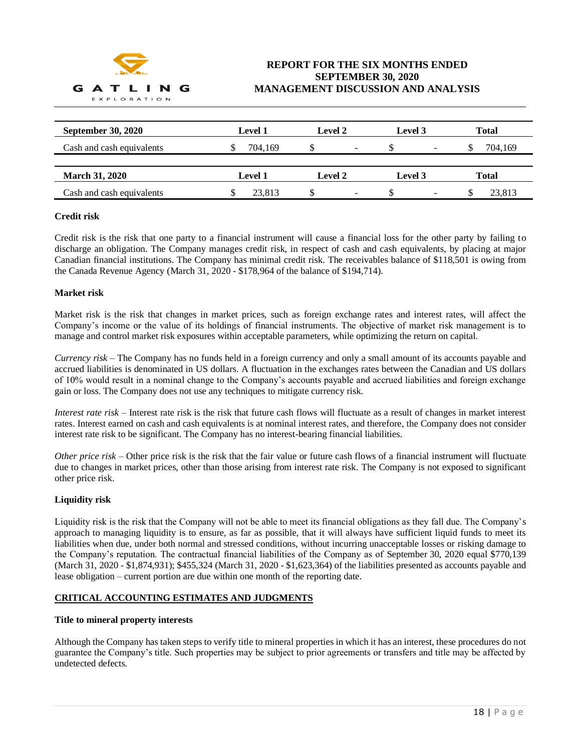

| <b>September 30, 2020</b> | Level 1 | <b>Level 2</b>                            | Level 3                        | Total        |
|---------------------------|---------|-------------------------------------------|--------------------------------|--------------|
| Cash and cash equivalents | 704.169 | -                                         | $\overline{\phantom{a}}$       | 704.169      |
| <b>March 31, 2020</b>     | Level 1 | Level 2                                   | Level 3                        | <b>Total</b> |
| Cash and cash equivalents | 23.813  | <sup>\$</sup><br>$\overline{\phantom{a}}$ | S.<br>$\overline{\phantom{a}}$ | 23.813       |

## **Credit risk**

Credit risk is the risk that one party to a financial instrument will cause a financial loss for the other party by failing to discharge an obligation. The Company manages credit risk, in respect of cash and cash equivalents, by placing at major Canadian financial institutions. The Company has minimal credit risk. The receivables balance of \$118,501 is owing from the Canada Revenue Agency (March 31, 2020 - \$178,964 of the balance of \$194,714).

#### **Market risk**

Market risk is the risk that changes in market prices, such as foreign exchange rates and interest rates, will affect the Company's income or the value of its holdings of financial instruments. The objective of market risk management is to manage and control market risk exposures within acceptable parameters, while optimizing the return on capital.

*Currency risk* – The Company has no funds held in a foreign currency and only a small amount of its accounts payable and accrued liabilities is denominated in US dollars. A fluctuation in the exchanges rates between the Canadian and US dollars of 10% would result in a nominal change to the Company's accounts payable and accrued liabilities and foreign exchange gain or loss. The Company does not use any techniques to mitigate currency risk.

*Interest rate risk* – Interest rate risk is the risk that future cash flows will fluctuate as a result of changes in market interest rates. Interest earned on cash and cash equivalents is at nominal interest rates, and therefore, the Company does not consider interest rate risk to be significant. The Company has no interest-bearing financial liabilities.

*Other price risk* – Other price risk is the risk that the fair value or future cash flows of a financial instrument will fluctuate due to changes in market prices, other than those arising from interest rate risk. The Company is not exposed to significant other price risk.

#### **Liquidity risk**

Liquidity risk is the risk that the Company will not be able to meet its financial obligations as they fall due. The Company's approach to managing liquidity is to ensure, as far as possible, that it will always have sufficient liquid funds to meet its liabilities when due, under both normal and stressed conditions, without incurring unacceptable losses or risking damage to the Company's reputation. The contractual financial liabilities of the Company as of September 30, 2020 equal \$770,139 (March 31, 2020 - \$1,874,931); \$455,324 (March 31, 2020 - \$1,623,364) of the liabilities presented as accounts payable and lease obligation – current portion are due within one month of the reporting date.

## **CRITICAL ACCOUNTING ESTIMATES AND JUDGMENTS**

#### **Title to mineral property interests**

Although the Company has taken steps to verify title to mineral properties in which it has an interest, these procedures do not guarantee the Company's title. Such properties may be subject to prior agreements or transfers and title may be affected by undetected defects.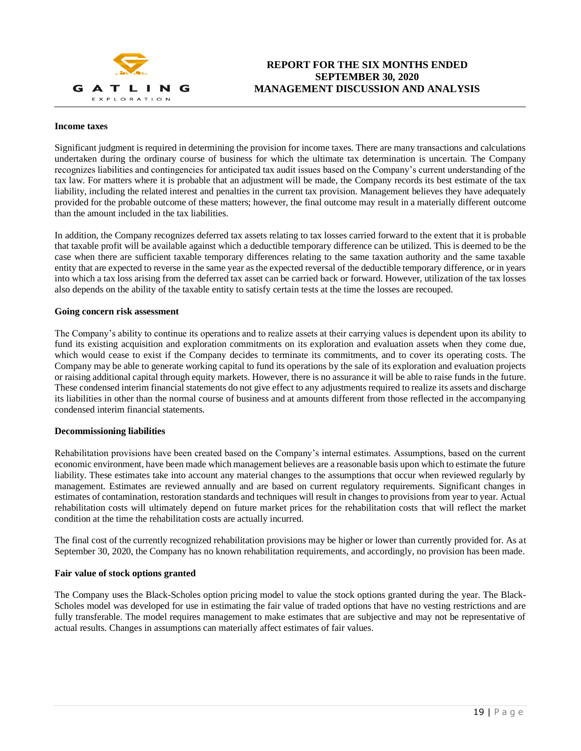

#### **Income taxes**

Significant judgment is required in determining the provision for income taxes. There are many transactions and calculations undertaken during the ordinary course of business for which the ultimate tax determination is uncertain. The Company recognizes liabilities and contingencies for anticipated tax audit issues based on the Company's current understanding of the tax law. For matters where it is probable that an adjustment will be made, the Company records its best estimate of the tax liability, including the related interest and penalties in the current tax provision. Management believes they have adequately provided for the probable outcome of these matters; however, the final outcome may result in a materially different outcome than the amount included in the tax liabilities.

In addition, the Company recognizes deferred tax assets relating to tax losses carried forward to the extent that it is probable that taxable profit will be available against which a deductible temporary difference can be utilized. This is deemed to be the case when there are sufficient taxable temporary differences relating to the same taxation authority and the same taxable entity that are expected to reverse in the same year as the expected reversal of the deductible temporary difference, or in years into which a tax loss arising from the deferred tax asset can be carried back or forward. However, utilization of the tax losses also depends on the ability of the taxable entity to satisfy certain tests at the time the losses are recouped.

#### **Going concern risk assessment**

The Company's ability to continue its operations and to realize assets at their carrying values is dependent upon its ability to fund its existing acquisition and exploration commitments on its exploration and evaluation assets when they come due, which would cease to exist if the Company decides to terminate its commitments, and to cover its operating costs. The Company may be able to generate working capital to fund its operations by the sale of its exploration and evaluation projects or raising additional capital through equity markets. However, there is no assurance it will be able to raise funds in the future. These condensed interim financial statements do not give effect to any adjustments required to realize its assets and discharge its liabilities in other than the normal course of business and at amounts different from those reflected in the accompanying condensed interim financial statements.

#### **Decommissioning liabilities**

Rehabilitation provisions have been created based on the Company's internal estimates. Assumptions, based on the current economic environment, have been made which management believes are a reasonable basis upon which to estimate the future liability. These estimates take into account any material changes to the assumptions that occur when reviewed regularly by management. Estimates are reviewed annually and are based on current regulatory requirements. Significant changes in estimates of contamination, restoration standards and techniques will result in changes to provisions from year to year. Actual rehabilitation costs will ultimately depend on future market prices for the rehabilitation costs that will reflect the market condition at the time the rehabilitation costs are actually incurred.

The final cost of the currently recognized rehabilitation provisions may be higher or lower than currently provided for. As at September 30, 2020, the Company has no known rehabilitation requirements, and accordingly, no provision has been made.

#### **Fair value of stock options granted**

The Company uses the Black-Scholes option pricing model to value the stock options granted during the year. The Black-Scholes model was developed for use in estimating the fair value of traded options that have no vesting restrictions and are fully transferable. The model requires management to make estimates that are subjective and may not be representative of actual results. Changes in assumptions can materially affect estimates of fair values.